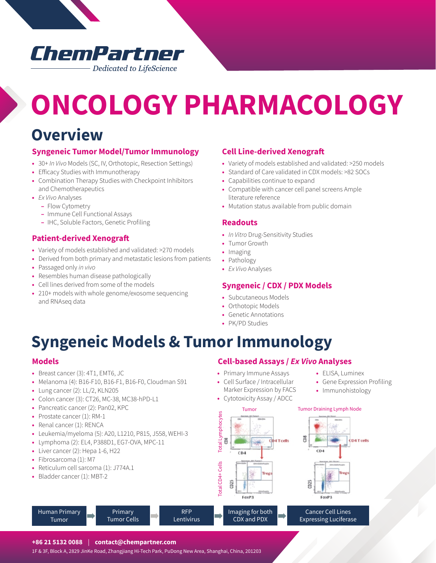### ChemPartner Dedicated to LifeScience

# **ONCOLOGY PHARMACOLOGY**

### **Overview**

### **Syngeneic Tumor Model/Tumor Immunology**

- **•** 30+ *In Vivo* Models (SC, IV, Orthotopic, Resection Settings)
- **•** Efficacy Studies with Immunotherapy
- **•** Combination Therapy Studies with Checkpoint Inhibitors and Chemotherapeutics
- **•** *Ex Vivo* Analyses
	- **–** Flow Cytometry
	- **–** Immune Cell Functional Assays
	- **–** IHC, Soluble Factors, Genetic Profiling

### **Patient-derived Xenograft**

- **•** Variety of models established and validated: >270 models
- **•** Derived from both primary and metastatic lesions from patients
- **•** Passaged only *in vivo*
- **•** Resembles human disease pathologically
- **•** Cell lines derived from some of the models
- **•** 210+ models with whole genome/exosome sequencing and RNAseq data

### **Cell Line-derived Xenograft**

- **•** Variety of models established and validated: >250 models
- **•** Standard of Care validated in CDX models: >82 SOCs
- **•** Capabilities continue to expand
- **•** Compatible with cancer cell panel screens Ample literature reference
- **•** Mutation status available from public domain

### **Readouts**

- **•** *In Vitro* Drug-Sensitivity Studies
- **•** Tumor Growth
- **•** Imaging
- **•** Pathology
- **•** *Ex Vivo* Analyses

### **Syngeneic / CDX / PDX Models**

- **•** Subcutaneous Models
- **•** Orthotopic Models
- **•** Genetic Annotations
- **•** PK/PD Studies

### **Syngeneic Models & Tumor Immunology**

RFP **Lentivirus** 

### **Models**

- **•** Breast cancer (3): 4T1, EMT6, JC
- **•** Melanoma (4): B16-F10, B16-F1, B16-F0, Cloudman S91
- **•** Lung cancer (2): LL/2, KLN205
- **•** Colon cancer (3): CT26, MC-38, MC38-hPD-L1
- **•** Pancreatic cancer (2): Pan02, KPC
- **•** Prostate cancer (1): RM-1
- **•** Renal cancer (1): RENCA
- **•** Leukemia/myeloma (5): A20, L1210, P815, J558, WEHI-3
- **•** Lymphoma (2): EL4, P388D1, EG7-OVA, MPC-11
- **•** Liver cancer (2): Hepa 1-6, H22
- **•** Fibrosarcoma (1): M7

Human Primary Tumor

- **•** Reticulum cell sarcoma (1): J774A.1
- **•** Bladder cancer (1): MBT-2

### **Cell-based Assays /** *Ex Vivo* **Analyses**

- **•** Primary Immune Assays
- **•** Cell Surface / Intracellular Marker Expression by FACS
- **•** Cytotoxicity Assay / ADCC

### Tumor Tumor Draining Lymph Node

**•** ELISA, Luminex

**•** Gene Expression Profiling **•** Immunohistology



**+86 21 5132 0088** | **contact@chempartner.com**

Primary Tumor Cells

1F & 3F, Block A, 2829 JinKe Road, Zhangjiang Hi-Tech Park, PuDong New Area, Shanghai, China, 201203